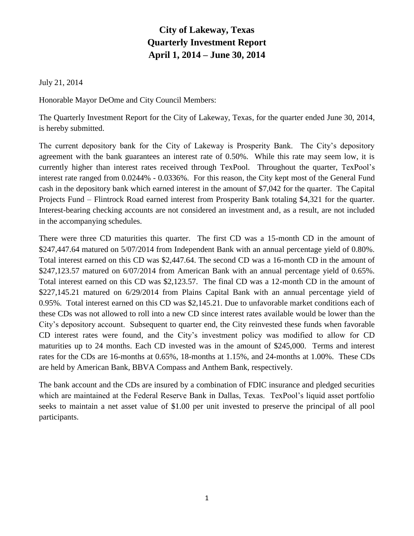## **City of Lakeway, Texas Quarterly Investment Report April 1, 2014 – June 30, 2014**

July 21, 2014

Honorable Mayor DeOme and City Council Members:

The Quarterly Investment Report for the City of Lakeway, Texas, for the quarter ended June 30, 2014, is hereby submitted.

The current depository bank for the City of Lakeway is Prosperity Bank. The City's depository agreement with the bank guarantees an interest rate of 0.50%. While this rate may seem low, it is currently higher than interest rates received through TexPool. Throughout the quarter, TexPool's interest rate ranged from 0.0244% - 0.0336%. For this reason, the City kept most of the General Fund cash in the depository bank which earned interest in the amount of \$7,042 for the quarter. The Capital Projects Fund – Flintrock Road earned interest from Prosperity Bank totaling \$4,321 for the quarter. Interest-bearing checking accounts are not considered an investment and, as a result, are not included in the accompanying schedules.

There were three CD maturities this quarter. The first CD was a 15-month CD in the amount of \$247,447.64 matured on 5/07/2014 from Independent Bank with an annual percentage yield of 0.80%. Total interest earned on this CD was \$2,447.64. The second CD was a 16-month CD in the amount of \$247,123.57 matured on 6/07/2014 from American Bank with an annual percentage yield of 0.65%. Total interest earned on this CD was \$2,123.57. The final CD was a 12-month CD in the amount of \$227,145.21 matured on 6/29/2014 from Plains Capital Bank with an annual percentage yield of 0.95%. Total interest earned on this CD was \$2,145.21. Due to unfavorable market conditions each of these CDs was not allowed to roll into a new CD since interest rates available would be lower than the City's depository account. Subsequent to quarter end, the City reinvested these funds when favorable CD interest rates were found, and the City's investment policy was modified to allow for CD maturities up to 24 months. Each CD invested was in the amount of \$245,000. Terms and interest rates for the CDs are 16-months at 0.65%, 18-months at 1.15%, and 24-months at 1.00%. These CDs are held by American Bank, BBVA Compass and Anthem Bank, respectively.

The bank account and the CDs are insured by a combination of FDIC insurance and pledged securities which are maintained at the Federal Reserve Bank in Dallas, Texas. TexPool's liquid asset portfolio seeks to maintain a net asset value of \$1.00 per unit invested to preserve the principal of all pool participants.